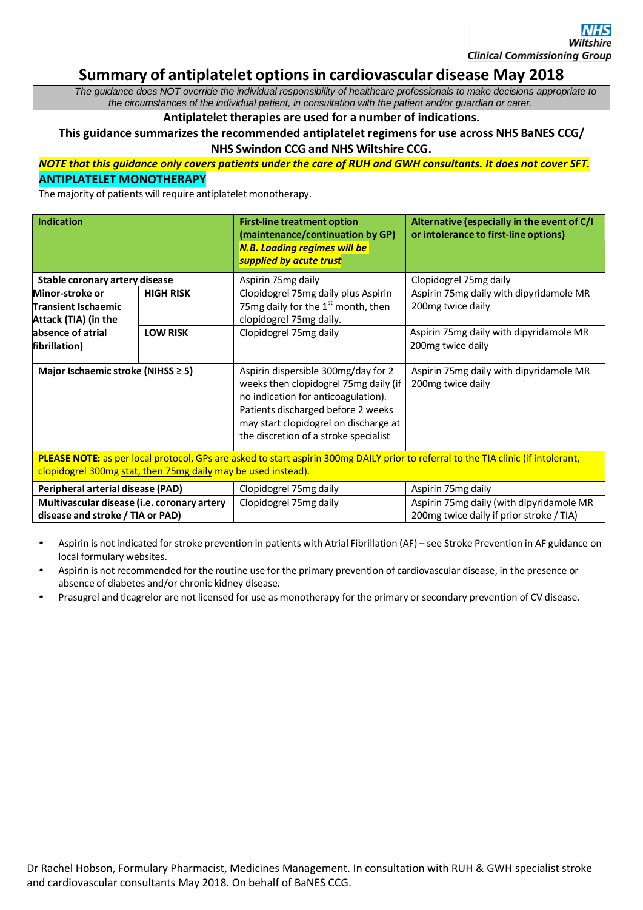# **Summary of antiplatelet optionsin cardiovascular disease May 2018**

*The guidance does NOT override the individual responsibility of healthcare professionals to make decisions appropriate to the circumstances of the individual patient, in consultation with the patient and/or guardian or carer.*

# **Antiplatelet therapies are used for a number of indications.**

**This guidance summarizes the recommended antiplatelet regimens for use across NHS BaNES CCG/ NHS Swindon CCG and NHS Wiltshire CCG.**

# *NOTE that this guidance only covers patients under the care of RUH and GWH consultants. It does not cover SFT.* **ANTIPLATELET MONOTHERAPY**

The majority of patients will require antiplatelet monotherapy.

| <b>Indication</b>                                              |                  | <b>First-line treatment option</b><br>(maintenance/continuation by GP)<br><b>N.B. Loading regimes will be</b><br>supplied by acute trust                                                                                                    | Alternative (especially in the event of C/I<br>or intolerance to first-line options) |
|----------------------------------------------------------------|------------------|---------------------------------------------------------------------------------------------------------------------------------------------------------------------------------------------------------------------------------------------|--------------------------------------------------------------------------------------|
| Stable coronary artery disease                                 |                  | Aspirin 75mg daily                                                                                                                                                                                                                          | Clopidogrel 75mg daily                                                               |
| Minor-stroke or<br>Transient Ischaemic<br>Attack (TIA) (in the | <b>HIGH RISK</b> | Clopidogrel 75mg daily plus Aspirin<br>75mg daily for the $1st$ month, then<br>clopidogrel 75mg daily.                                                                                                                                      | Aspirin 75mg daily with dipyridamole MR<br>200mg twice daily                         |
| absence of atrial<br>fibrillation)                             | <b>LOW RISK</b>  | Clopidogrel 75mg daily                                                                                                                                                                                                                      | Aspirin 75mg daily with dipyridamole MR<br>200 <sub>mg</sub> twice daily             |
| Major Ischaemic stroke (NIHSS ≥ 5)                             |                  | Aspirin dispersible 300mg/day for 2<br>weeks then clopidogrel 75mg daily (if<br>no indication for anticoagulation).<br>Patients discharged before 2 weeks<br>may start clopidogrel on discharge at<br>the discretion of a stroke specialist | Aspirin 75mg daily with dipyridamole MR<br>200 mg twice daily                        |

**PLEASE NOTE:** as per local protocol, GPs are asked to start aspirin 300mg DAILY prior to referral to the TIA clinic (if intolerant, clopidogrel 300mg stat, then 75mg daily may be used instead).

| Peripheral arterial disease (PAD)           | Clopidogrel 75mg daily | Aspirin 75mg daily                       |
|---------------------------------------------|------------------------|------------------------------------------|
| Multivascular disease (i.e. coronary artery | Clopidogrel 75mg daily | Aspirin 75mg daily (with dipyridamole MR |
| disease and stroke / TIA or PAD)            |                        | 200mg twice daily if prior stroke / TIA) |

- Aspirin is not indicated for stroke prevention in patients with Atrial Fibrillation (AF) see Stroke Prevention in AF guidance on local formulary websites.
- Aspirin is not recommended for the routine use for the primary prevention of cardiovascular disease, in the presence or absence of diabetes and/or chronic kidney disease.
- Prasugrel and ticagrelor are not licensed for use asmonotherapy for the primary or secondary prevention of CV disease.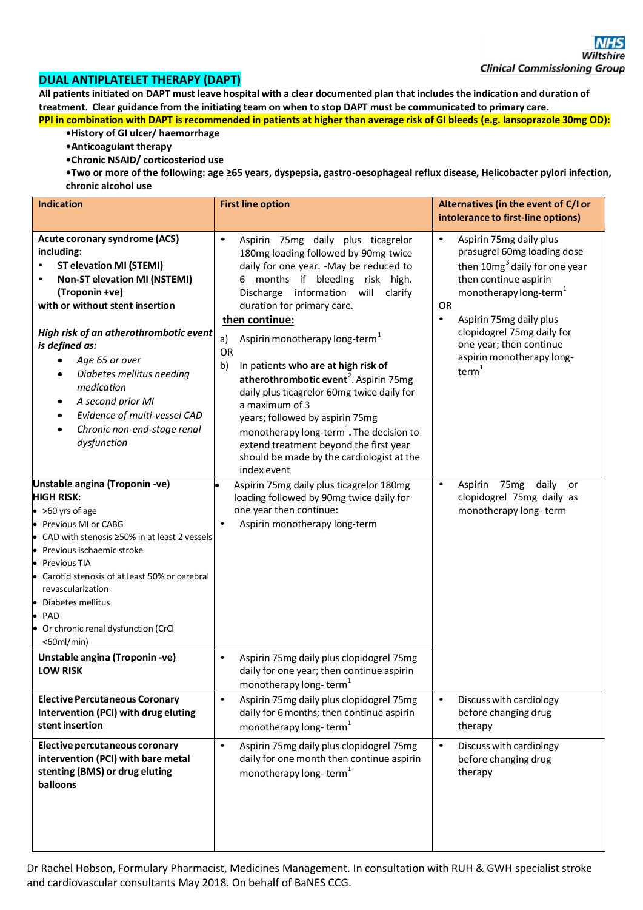### **DUAL ANTIPLATELET THERAPY (DAPT)**

All patients initiated on DAPT must leave hospital with a clear documented plan that includes the indication and duration of treatment. Clear guidance from the initiating team on when to stop DAPT must be communicated to primary care. **PPI in combination with DAPT is recommended in patients at higher than average risk of GI bleeds (e.g. lansoprazole 30mg OD):**

- **•History of GI ulcer/ haemorrhage**
- **•Anticoagulant therapy**
- **•Chronic NSAID/ corticosteriod use**
- **•Two or more of the following: age ≥65 years, dyspepsia, gastro-oesophageal reflux disease, Helicobacter pylori infection, chronic alcohol use**

| <b>Indication</b>                                                                                                                                                                                                                                                                                                                                                                                                                                                                                                 | <b>First line option</b>                                                                                                                                                                                                                                                                                                                                                                                                                                                                                                                                                                                                                                                                                                                                                                                                                              | Alternatives (in the event of C/I or<br>intolerance to first-line options)                                                                                                                                                                                                                                                                                                                                                                             |
|-------------------------------------------------------------------------------------------------------------------------------------------------------------------------------------------------------------------------------------------------------------------------------------------------------------------------------------------------------------------------------------------------------------------------------------------------------------------------------------------------------------------|-------------------------------------------------------------------------------------------------------------------------------------------------------------------------------------------------------------------------------------------------------------------------------------------------------------------------------------------------------------------------------------------------------------------------------------------------------------------------------------------------------------------------------------------------------------------------------------------------------------------------------------------------------------------------------------------------------------------------------------------------------------------------------------------------------------------------------------------------------|--------------------------------------------------------------------------------------------------------------------------------------------------------------------------------------------------------------------------------------------------------------------------------------------------------------------------------------------------------------------------------------------------------------------------------------------------------|
| Acute coronary syndrome (ACS)<br>including:<br><b>ST elevation MI (STEMI)</b><br><b>Non-ST elevation MI (NSTEMI)</b><br>(Troponin +ve)<br>with or without stent insertion<br>High risk of an atherothrombotic event<br>is defined as:<br>Age 65 or over<br>Diabetes mellitus needing<br>medication<br>A second prior MI<br>Evidence of multi-vessel CAD<br>Chronic non-end-stage renal<br>dysfunction<br>Unstable angina (Troponin -ve)<br><b>HIGH RISK:</b><br>$\bullet$ >60 yrs of age<br>• Previous MI or CABG | $\bullet$<br>Aspirin 75mg daily plus ticagrelor<br>180mg loading followed by 90mg twice<br>daily for one year. - May be reduced to<br>months if bleeding risk high.<br>Discharge information will<br>clarify<br>duration for primary care.<br>then continue:<br>Aspirin monotherapy long-term <sup>1</sup><br>a)<br><b>OR</b><br>In patients who are at high risk of<br>b)<br>atherothrombotic event <sup>2</sup> . Aspirin 75mg<br>daily plus ticagrelor 60mg twice daily for<br>a maximum of 3<br>years; followed by aspirin 75mg<br>monotherapy long-term <sup>1</sup> . The decision to<br>extend treatment beyond the first year<br>should be made by the cardiologist at the<br>index event<br>Aspirin 75mg daily plus ticagrelor 180mg<br>loading followed by 90mg twice daily for<br>one year then continue:<br>Aspirin monotherapy long-term | $\bullet$<br>Aspirin 75mg daily plus<br>prasugrel 60mg loading dose<br>then 10mg <sup>3</sup> daily for one year<br>then continue aspirin<br>monotherapy long-term <sup>1</sup><br>OR<br>Aspirin 75mg daily plus<br>$\bullet$<br>clopidogrel 75mg daily for<br>one year; then continue<br>aspirin monotherapy long-<br>term <sup>1</sup><br>$\bullet$<br>Aspirin<br>75 <sub>mg</sub><br>daily or<br>clopidogrel 75mg daily as<br>monotherapy long-term |
| • CAD with stenosis $\geq$ 50% in at least 2 vessels<br>• Previous ischaemic stroke<br>• Previous TIA<br>Carotid stenosis of at least 50% or cerebral<br>revascularization<br>• Diabetes mellitus<br>$\bullet$ PAD<br>• Or chronic renal dysfunction (CrCl<br>$<$ 60ml/min)<br>Unstable angina (Troponin -ve)                                                                                                                                                                                                     | Aspirin 75mg daily plus clopidogrel 75mg<br>$\bullet$                                                                                                                                                                                                                                                                                                                                                                                                                                                                                                                                                                                                                                                                                                                                                                                                 |                                                                                                                                                                                                                                                                                                                                                                                                                                                        |
| <b>LOW RISK</b><br><b>Elective Percutaneous Coronary</b>                                                                                                                                                                                                                                                                                                                                                                                                                                                          | daily for one year; then continue aspirin<br>monotherapy long-term <sup>1</sup><br>$\bullet$<br>Aspirin 75mg daily plus clopidogrel 75mg                                                                                                                                                                                                                                                                                                                                                                                                                                                                                                                                                                                                                                                                                                              | $\bullet$                                                                                                                                                                                                                                                                                                                                                                                                                                              |
| Intervention (PCI) with drug eluting<br>stent insertion                                                                                                                                                                                                                                                                                                                                                                                                                                                           | daily for 6 months; then continue aspirin<br>monotherapy long-term <sup>1</sup>                                                                                                                                                                                                                                                                                                                                                                                                                                                                                                                                                                                                                                                                                                                                                                       | Discuss with cardiology<br>before changing drug<br>therapy                                                                                                                                                                                                                                                                                                                                                                                             |
| Elective percutaneous coronary<br>intervention (PCI) with bare metal<br>stenting (BMS) or drug eluting<br>balloons                                                                                                                                                                                                                                                                                                                                                                                                | $\bullet$<br>Aspirin 75mg daily plus clopidogrel 75mg<br>daily for one month then continue aspirin<br>monotherapy long-term <sup>1</sup>                                                                                                                                                                                                                                                                                                                                                                                                                                                                                                                                                                                                                                                                                                              | Discuss with cardiology<br>$\bullet$<br>before changing drug<br>therapy                                                                                                                                                                                                                                                                                                                                                                                |

Dr Rachel Hobson, Formulary Pharmacist, Medicines Management. In consultation with RUH & GWH specialist stroke and cardiovascular consultants May 2018. On behalf of BaNES CCG.